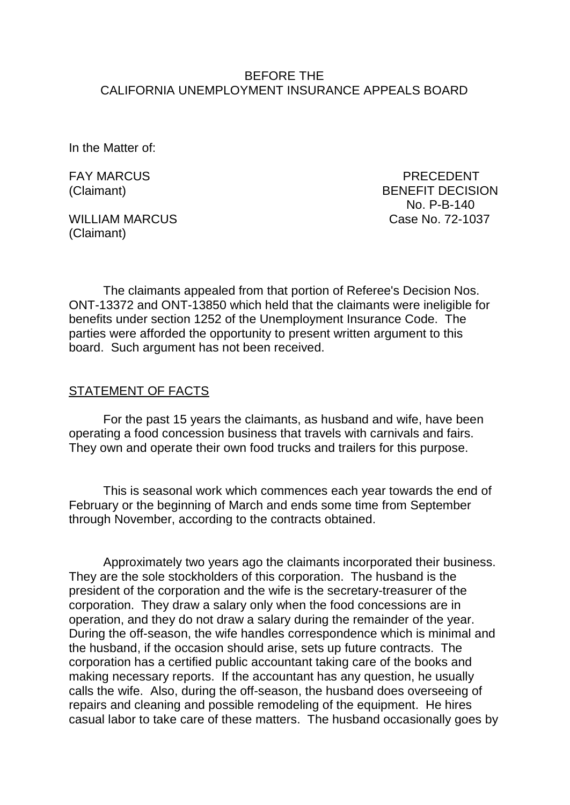### BEFORE THE CALIFORNIA UNEMPLOYMENT INSURANCE APPEALS BOARD

In the Matter of:

(Claimant)

FAY MARCUS PRECEDENT (Claimant) BENEFIT DECISION No. P-B-140 WILLIAM MARCUS **Case No. 72-1037** 

The claimants appealed from that portion of Referee's Decision Nos. ONT-13372 and ONT-13850 which held that the claimants were ineligible for benefits under section 1252 of the Unemployment Insurance Code. The parties were afforded the opportunity to present written argument to this board. Such argument has not been received.

### STATEMENT OF FACTS

For the past 15 years the claimants, as husband and wife, have been operating a food concession business that travels with carnivals and fairs. They own and operate their own food trucks and trailers for this purpose.

This is seasonal work which commences each year towards the end of February or the beginning of March and ends some time from September through November, according to the contracts obtained.

Approximately two years ago the claimants incorporated their business. They are the sole stockholders of this corporation. The husband is the president of the corporation and the wife is the secretary-treasurer of the corporation. They draw a salary only when the food concessions are in operation, and they do not draw a salary during the remainder of the year. During the off-season, the wife handles correspondence which is minimal and the husband, if the occasion should arise, sets up future contracts. The corporation has a certified public accountant taking care of the books and making necessary reports. If the accountant has any question, he usually calls the wife. Also, during the off-season, the husband does overseeing of repairs and cleaning and possible remodeling of the equipment. He hires casual labor to take care of these matters. The husband occasionally goes by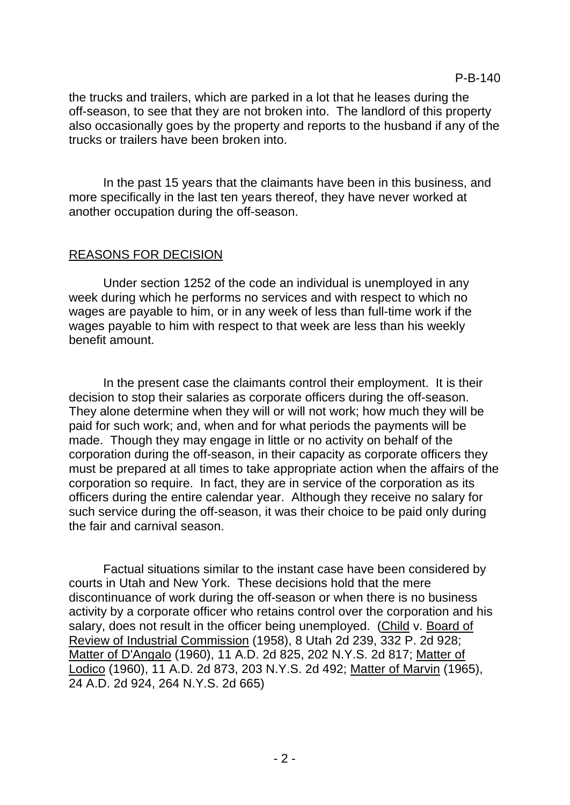the trucks and trailers, which are parked in a lot that he leases during the off-season, to see that they are not broken into. The landlord of this property also occasionally goes by the property and reports to the husband if any of the trucks or trailers have been broken into.

In the past 15 years that the claimants have been in this business, and more specifically in the last ten years thereof, they have never worked at another occupation during the off-season.

# REASONS FOR DECISION

Under section 1252 of the code an individual is unemployed in any week during which he performs no services and with respect to which no wages are payable to him, or in any week of less than full-time work if the wages payable to him with respect to that week are less than his weekly benefit amount.

In the present case the claimants control their employment. It is their decision to stop their salaries as corporate officers during the off-season. They alone determine when they will or will not work; how much they will be paid for such work; and, when and for what periods the payments will be made. Though they may engage in little or no activity on behalf of the corporation during the off-season, in their capacity as corporate officers they must be prepared at all times to take appropriate action when the affairs of the corporation so require. In fact, they are in service of the corporation as its officers during the entire calendar year. Although they receive no salary for such service during the off-season, it was their choice to be paid only during the fair and carnival season.

Factual situations similar to the instant case have been considered by courts in Utah and New York. These decisions hold that the mere discontinuance of work during the off-season or when there is no business activity by a corporate officer who retains control over the corporation and his salary, does not result in the officer being unemployed. (Child v. Board of Review of Industrial Commission (1958), 8 Utah 2d 239, 332 P. 2d 928; Matter of D'Angalo (1960), 11 A.D. 2d 825, 202 N.Y.S. 2d 817; Matter of Lodico (1960), 11 A.D. 2d 873, 203 N.Y.S. 2d 492; Matter of Marvin (1965), 24 A.D. 2d 924, 264 N.Y.S. 2d 665)